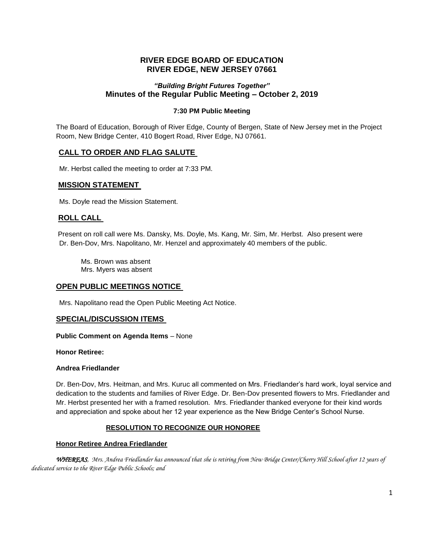# **RIVER EDGE BOARD OF EDUCATION RIVER EDGE, NEW JERSEY 07661**

### *"Building Bright Futures Together"* **Minutes of the Regular Public Meeting – October 2, 2019**

### **7:30 PM Public Meeting**

The Board of Education, Borough of River Edge, County of Bergen, State of New Jersey met in the Project Room, New Bridge Center, 410 Bogert Road, River Edge, NJ 07661.

### **CALL TO ORDER AND FLAG SALUTE**

Mr. Herbst called the meeting to order at 7:33 PM.

#### **MISSION STATEMENT**

Ms. Doyle read the Mission Statement.

### **ROLL CALL**

Present on roll call were Ms. Dansky, Ms. Doyle, Ms. Kang, Mr. Sim, Mr. Herbst. Also present were Dr. Ben-Dov, Mrs. Napolitano, Mr. Henzel and approximately 40 members of the public.

Ms. Brown was absent Mrs. Myers was absent

### **OPEN PUBLIC MEETINGS NOTICE**

Mrs. Napolitano read the Open Public Meeting Act Notice.

### **SPECIAL/DISCUSSION ITEMS**

**Public Comment on Agenda Items** – None

**Honor Retiree:**

#### **Andrea Friedlander**

Dr. Ben-Dov, Mrs. Heitman, and Mrs. Kuruc all commented on Mrs. Friedlander's hard work, loyal service and dedication to the students and families of River Edge. Dr. Ben-Dov presented flowers to Mrs. Friedlander and Mr. Herbst presented her with a framed resolution*.* Mrs. Friedlander thanked everyone for their kind words and appreciation and spoke about her 12 year experience as the New Bridge Center's School Nurse.

### **RESOLUTION TO RECOGNIZE OUR HONOREE**

#### **Honor Retiree Andrea Friedlander**

*WHEREAS, Mrs. Andrea Friedlander has announced that she is retiring from New Bridge Center/Cherry Hill School after 12 years of dedicated service to the River Edge Public Schools; and*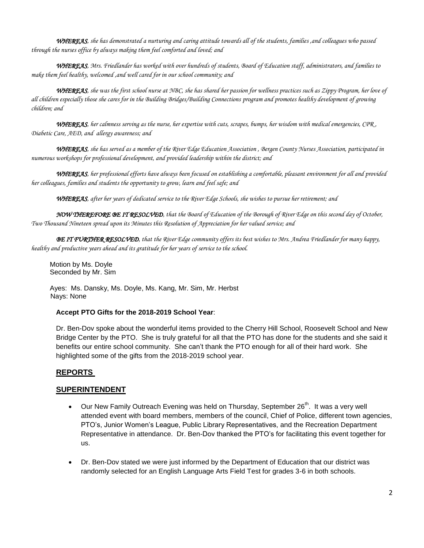*WHEREAS, she has demonstrated a nurturing and caring attitude towards all of the students, families ,and colleagues who passed through the nurses office by always making them feel comforted and loved; and*

*WHEREAS, Mrs. Friedlander has worked with over hundreds of students, Board of Education staff, administrators, and families to make them feel healthy, welcomed ,and well cared for in our school community; and*

*WHEREAS, she was the first school nurse at NBC, she has shared her passion for wellness practices such as Zippy Program, her love of all children especially those she cares for in the Building Bridges/Building Connections program and promotes healthy development of growing children; and*

*WHEREAS, her calmness serving as the nurse, her expertise with cuts, scrapes, bumps, her wisdom with medical emergencies, CPR , Diabetic Care, AED, and allergy awareness; and*

*WHEREAS, she has served as a member of the River Edge Education Association , Bergen County Nurses Association, participated in numerous workshops for professional development, and provided leadership within the district; and*

*WHEREAS, her professional efforts have always been focused on establishing a comfortable, pleasant environment for all and provided her colleagues, families and students the opportunity to grow, learn and feel safe; and*

*WHEREAS, after her years of dedicated service to the River Edge Schools, she wishes to pursue her retirement; and*

*NOW THEREFORE BE IT RESOLVED, that the Board of Education of the Borough of River Edge on this second day of October, Two Thousand Nineteen spread upon its Minutes this Resolution of Appreciation for her valued service; and*

*BE IT FURTHER RESOLVED, that the River Edge community offers its best wishes to Mrs. Andrea Friedlander for many happy, healthy and productive years ahead and its gratitude for her years of service to the school.*

Motion by Ms. Doyle Seconded by Mr. Sim

Ayes: Ms. Dansky, Ms. Doyle, Ms. Kang, Mr. Sim, Mr. Herbst Nays: None

### **Accept PTO Gifts for the 2018-2019 School Year**:

Dr. Ben-Dov spoke about the wonderful items provided to the Cherry Hill School, Roosevelt School and New Bridge Center by the PTO. She is truly grateful for all that the PTO has done for the students and she said it benefits our entire school community. She can't thank the PTO enough for all of their hard work. She highlighted some of the gifts from the 2018-2019 school year.

### **REPORTS**

### **SUPERINTENDENT**

- $\bullet$  Our New Family Outreach Evening was held on Thursday, September 26<sup>th</sup>. It was a very well attended event with board members, members of the council, Chief of Police, different town agencies, PTO's, Junior Women's League, Public Library Representatives, and the Recreation Department Representative in attendance. Dr. Ben-Dov thanked the PTO's for facilitating this event together for us.
- Dr. Ben-Dov stated we were just informed by the Department of Education that our district was randomly selected for an English Language Arts Field Test for grades 3-6 in both schools.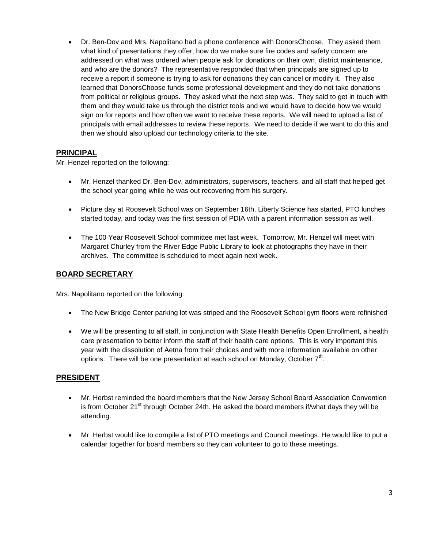Dr. Ben-Dov and Mrs. Napolitano had a phone conference with DonorsChoose. They asked them what kind of presentations they offer, how do we make sure fire codes and safety concern are addressed on what was ordered when people ask for donations on their own, district maintenance, and who are the donors? The representative responded that when principals are signed up to receive a report if someone is trying to ask for donations they can cancel or modify it. They also learned that DonorsChoose funds some professional development and they do not take donations from political or religious groups. They asked what the next step was. They said to get in touch with them and they would take us through the district tools and we would have to decide how we would sign on for reports and how often we want to receive these reports. We will need to upload a list of principals with email addresses to review these reports. We need to decide if we want to do this and then we should also upload our technology criteria to the site.

## **PRINCIPAL**

Mr. Henzel reported on the following:

- Mr. Henzel thanked Dr. Ben-Dov, administrators, supervisors, teachers, and all staff that helped get the school year going while he was out recovering from his surgery.
- Picture day at Roosevelt School was on September 16th, Liberty Science has started, PTO lunches started today, and today was the first session of PDIA with a parent information session as well.
- The 100 Year Roosevelt School committee met last week. Tomorrow, Mr. Henzel will meet with Margaret Churley from the River Edge Public Library to look at photographs they have in their archives. The committee is scheduled to meet again next week.

# **BOARD SECRETARY**

Mrs. Napolitano reported on the following:

- The New Bridge Center parking lot was striped and the Roosevelt School gym floors were refinished
- We will be presenting to all staff, in conjunction with State Health Benefits Open Enrollment, a health care presentation to better inform the staff of their health care options. This is very important this year with the dissolution of Aetna from their choices and with more information available on other options. There will be one presentation at each school on Monday, October  $7<sup>th</sup>$ .

## **PRESIDENT**

- Mr. Herbst reminded the board members that the New Jersey School Board Association Convention is from October 21 $\mathrm{^{st}}$  through October 24th. He asked the board members if/what days they will be attending.
- Mr. Herbst would like to compile a list of PTO meetings and Council meetings. He would like to put a calendar together for board members so they can volunteer to go to these meetings.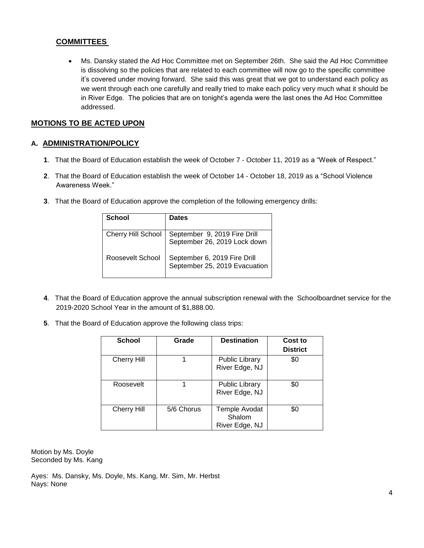## **COMMITTEES**

 Ms. Dansky stated the Ad Hoc Committee met on September 26th. She said the Ad Hoc Committee is dissolving so the policies that are related to each committee will now go to the specific committee it's covered under moving forward. She said this was great that we got to understand each policy as we went through each one carefully and really tried to make each policy very much what it should be in River Edge. The policies that are on tonight's agenda were the last ones the Ad Hoc Committee addressed.

# **MOTIONS TO BE ACTED UPON**

## **A. ADMINISTRATION/POLICY**

- **1**. That the Board of Education establish the week of October 7 October 11, 2019 as a "Week of Respect."
- **2**. That the Board of Education establish the week of October 14 October 18, 2019 as a "School Violence Awareness Week."
- **3**. That the Board of Education approve the completion of the following emergency drills:

| School             | <b>Dates</b>                                                  |
|--------------------|---------------------------------------------------------------|
| Cherry Hill School | September 9, 2019 Fire Drill<br>September 26, 2019 Lock down  |
| Roosevelt School   | September 6, 2019 Fire Drill<br>September 25, 2019 Evacuation |

- **4**. That the Board of Education approve the annual subscription renewal with the Schoolboardnet service for the 2019-2020 School Year in the amount of \$1,888.00.
- **5**. That the Board of Education approve the following class trips:

| <b>School</b>      | Grade      | <b>Destination</b>                        | Cost to<br><b>District</b> |
|--------------------|------------|-------------------------------------------|----------------------------|
| <b>Cherry Hill</b> |            | <b>Public Library</b><br>River Edge, NJ   | \$0                        |
| Roosevelt          |            | <b>Public Library</b><br>River Edge, NJ   | \$0                        |
| <b>Cherry Hill</b> | 5/6 Chorus | Temple Avodat<br>Shalom<br>River Edge, NJ | \$0                        |

Motion by Ms. Doyle Seconded by Ms. Kang

Ayes: Ms. Dansky, Ms. Doyle, Ms. Kang, Mr. Sim, Mr. Herbst Nays: None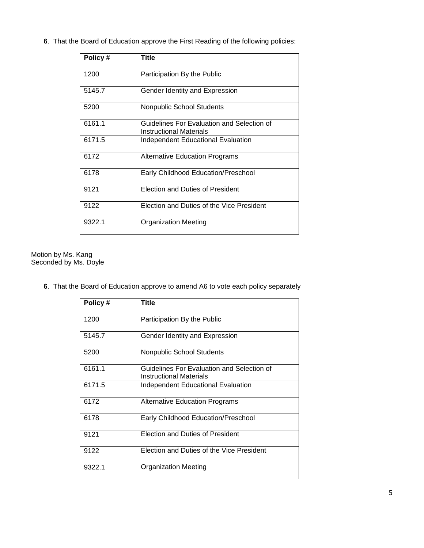**6**. That the Board of Education approve the First Reading of the following policies:

| Policy# | Title                                                                 |
|---------|-----------------------------------------------------------------------|
| 1200    | Participation By the Public                                           |
| 5145.7  | Gender Identity and Expression                                        |
| 5200    | Nonpublic School Students                                             |
| 6161.1  | Guidelines For Evaluation and Selection of<br>Instructional Materials |
| 6171.5  | Independent Educational Evaluation                                    |
| 6172    | Alternative Education Programs                                        |
| 6178    | Early Childhood Education/Preschool                                   |
| 9121    | <b>Election and Duties of President</b>                               |
| 9122    | Election and Duties of the Vice President                             |
| 9322.1  | <b>Organization Meeting</b>                                           |

#### Motion by Ms. Kang Seconded by Ms. Doyle

**6**. That the Board of Education approve to amend A6 to vote each policy separately

| Policy# | Title                                                                        |
|---------|------------------------------------------------------------------------------|
| 1200    | Participation By the Public                                                  |
| 5145.7  | Gender Identity and Expression                                               |
| 5200    | <b>Nonpublic School Students</b>                                             |
| 6161.1  | Guidelines For Evaluation and Selection of<br><b>Instructional Materials</b> |
| 6171.5  | <b>Independent Educational Evaluation</b>                                    |
| 6172    | <b>Alternative Education Programs</b>                                        |
| 6178    | Early Childhood Education/Preschool                                          |
| 9121    | Election and Duties of President                                             |
| 9122    | Election and Duties of the Vice President                                    |
| 9322.1  | <b>Organization Meeting</b>                                                  |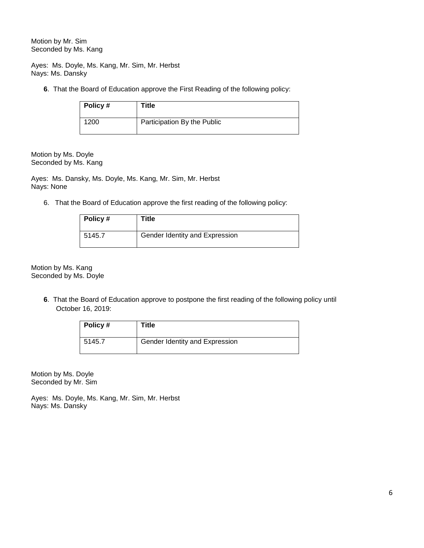Motion by Mr. Sim Seconded by Ms. Kang

Ayes: Ms. Doyle, Ms. Kang, Mr. Sim, Mr. Herbst Nays: Ms. Dansky

**6**. That the Board of Education approve the First Reading of the following policy:

| Policy # | Title                       |
|----------|-----------------------------|
| 1200     | Participation By the Public |

Motion by Ms. Doyle Seconded by Ms. Kang

Ayes: Ms. Dansky, Ms. Doyle, Ms. Kang, Mr. Sim, Mr. Herbst Nays: None

6. That the Board of Education approve the first reading of the following policy:

| Policy# | Title                          |
|---------|--------------------------------|
| 5145.7  | Gender Identity and Expression |

Motion by Ms. Kang Seconded by Ms. Doyle

> **6**. That the Board of Education approve to postpone the first reading of the following policy until October 16, 2019:

| Policy $#$ | Title                          |
|------------|--------------------------------|
| 5145.7     | Gender Identity and Expression |

Motion by Ms. Doyle Seconded by Mr. Sim

Ayes: Ms. Doyle, Ms. Kang, Mr. Sim, Mr. Herbst Nays: Ms. Dansky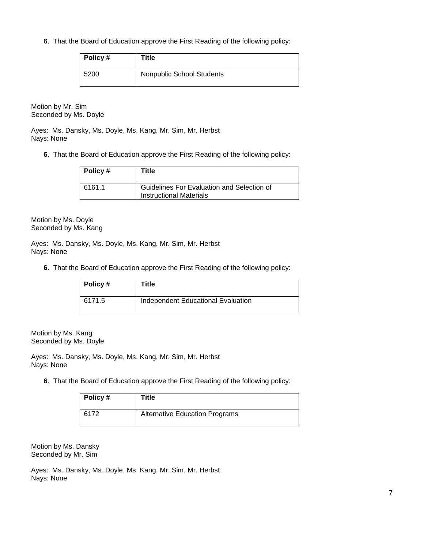**6**. That the Board of Education approve the First Reading of the following policy:

| Policy # | Title                     |
|----------|---------------------------|
| 5200     | Nonpublic School Students |

Motion by Mr. Sim Seconded by Ms. Doyle

Ayes: Ms. Dansky, Ms. Doyle, Ms. Kang, Mr. Sim, Mr. Herbst Nays: None

**6**. That the Board of Education approve the First Reading of the following policy:

| $\vert$ Policy # | Title                                                                        |
|------------------|------------------------------------------------------------------------------|
| 6161.1           | Guidelines For Evaluation and Selection of<br><b>Instructional Materials</b> |

Motion by Ms. Doyle Seconded by Ms. Kang

Ayes: Ms. Dansky, Ms. Doyle, Ms. Kang, Mr. Sim, Mr. Herbst Nays: None

**6**. That the Board of Education approve the First Reading of the following policy:

| Policy# | Title                              |
|---------|------------------------------------|
| 6171.5  | Independent Educational Evaluation |

Motion by Ms. Kang Seconded by Ms. Doyle

Ayes: Ms. Dansky, Ms. Doyle, Ms. Kang, Mr. Sim, Mr. Herbst Nays: None

**6**. That the Board of Education approve the First Reading of the following policy:

| $\vert$ Policy # | Title                                 |
|------------------|---------------------------------------|
| 6172             | <b>Alternative Education Programs</b> |

Motion by Ms. Dansky Seconded by Mr. Sim

Ayes: Ms. Dansky, Ms. Doyle, Ms. Kang, Mr. Sim, Mr. Herbst Nays: None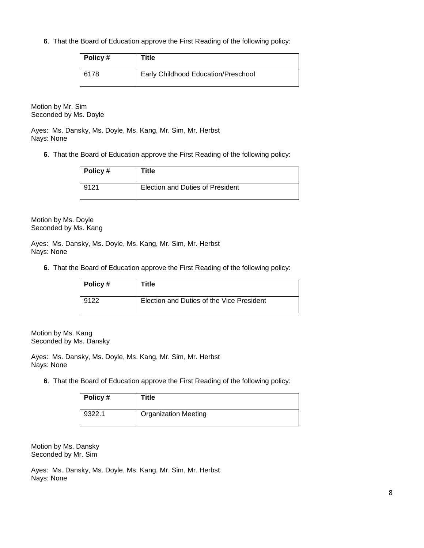**6**. That the Board of Education approve the First Reading of the following policy:

| Policy # | Title                               |
|----------|-------------------------------------|
| 6178     | Early Childhood Education/Preschool |

Motion by Mr. Sim Seconded by Ms. Doyle

Ayes: Ms. Dansky, Ms. Doyle, Ms. Kang, Mr. Sim, Mr. Herbst Nays: None

**6**. That the Board of Education approve the First Reading of the following policy:

| Policy # | Title                                   |
|----------|-----------------------------------------|
| 9121     | <b>Election and Duties of President</b> |

Motion by Ms. Doyle Seconded by Ms. Kang

Ayes: Ms. Dansky, Ms. Doyle, Ms. Kang, Mr. Sim, Mr. Herbst Nays: None

**6**. That the Board of Education approve the First Reading of the following policy:

| Policy# | Title                                     |
|---------|-------------------------------------------|
| 9122    | Election and Duties of the Vice President |

Motion by Ms. Kang Seconded by Ms. Dansky

Ayes: Ms. Dansky, Ms. Doyle, Ms. Kang, Mr. Sim, Mr. Herbst Nays: None

**6**. That the Board of Education approve the First Reading of the following policy:

| $\vert$ Policy # | Title                       |
|------------------|-----------------------------|
| 9322.1           | <b>Organization Meeting</b> |

Motion by Ms. Dansky Seconded by Mr. Sim

Ayes: Ms. Dansky, Ms. Doyle, Ms. Kang, Mr. Sim, Mr. Herbst Nays: None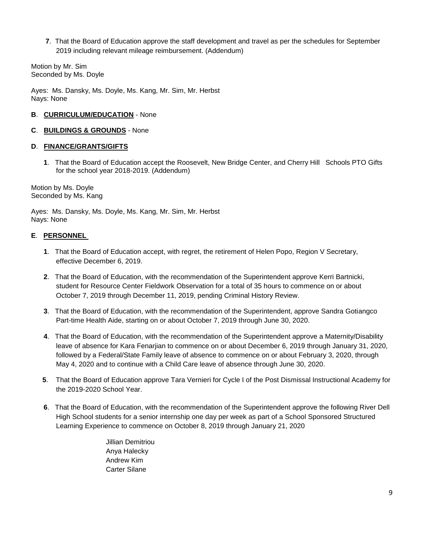**7**. That the Board of Education approve the staff development and travel as per the schedules for September 2019 including relevant mileage reimbursement. (Addendum)

Motion by Mr. Sim Seconded by Ms. Doyle

Ayes: Ms. Dansky, Ms. Doyle, Ms. Kang, Mr. Sim, Mr. Herbst Nays: None

### **B**. **CURRICULUM/EDUCATION** - None

#### **C**. **BUILDINGS & GROUNDS** - None

#### **D**. **FINANCE/GRANTS/GIFTS**

**1**. That the Board of Education accept the Roosevelt, New Bridge Center, and Cherry Hill Schools PTO Gifts for the school year 2018-2019. (Addendum)

Motion by Ms. Doyle Seconded by Ms. Kang

Ayes: Ms. Dansky, Ms. Doyle, Ms. Kang, Mr. Sim, Mr. Herbst Nays: None

### **E**. **PERSONNEL**

- **1**. That the Board of Education accept, with regret, the retirement of Helen Popo, Region V Secretary, effective December 6, 2019.
- **2**. That the Board of Education, with the recommendation of the Superintendent approve Kerri Bartnicki, student for Resource Center Fieldwork Observation for a total of 35 hours to commence on or about October 7, 2019 through December 11, 2019, pending Criminal History Review.
- **3**. That the Board of Education, with the recommendation of the Superintendent, approve Sandra Gotiangco Part-time Health Aide, starting on or about October 7, 2019 through June 30, 2020.
- **4**. That the Board of Education, with the recommendation of the Superintendent approve a Maternity/Disability leave of absence for Kara Fenarjian to commence on or about December 6, 2019 through January 31, 2020, followed by a Federal/State Family leave of absence to commence on or about February 3, 2020, through May 4, 2020 and to continue with a Child Care leave of absence through June 30, 2020.
- **5**. That the Board of Education approve Tara Vernieri for Cycle I of the Post Dismissal Instructional Academy for the 2019-2020 School Year.
- **6**. That the Board of Education, with the recommendation of the Superintendent approve the following River Dell High School students for a senior internship one day per week as part of a School Sponsored Structured Learning Experience to commence on October 8, 2019 through January 21, 2020

Jillian Demitriou Anya Halecky Andrew Kim Carter Silane